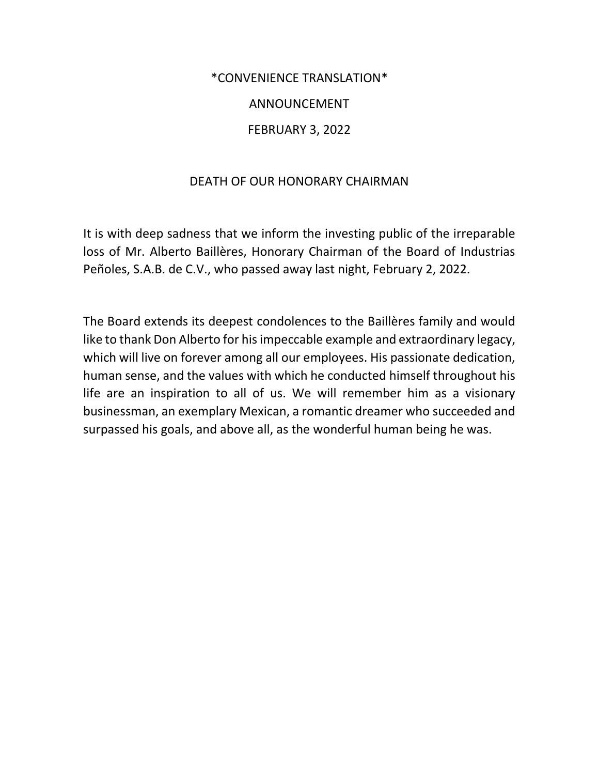### \*CONVENIENCE TRANSLATION\*

# ANNOUNCEMENT

# FEBRUARY 3, 2022

## DEATH OF OUR HONORARY CHAIRMAN

It is with deep sadness that we inform the investing public of the irreparable loss of Mr. Alberto Baillères, Honorary Chairman of the Board of Industrias Peñoles, S.A.B. de C.V., who passed away last night, February 2, 2022.

The Board extends its deepest condolences to the Baillères family and would like to thank Don Alberto for his impeccable example and extraordinary legacy, which will live on forever among all our employees. His passionate dedication, human sense, and the values with which he conducted himself throughout his life are an inspiration to all of us. We will remember him as a visionary businessman, an exemplary Mexican, a romantic dreamer who succeeded and surpassed his goals, and above all, as the wonderful human being he was.